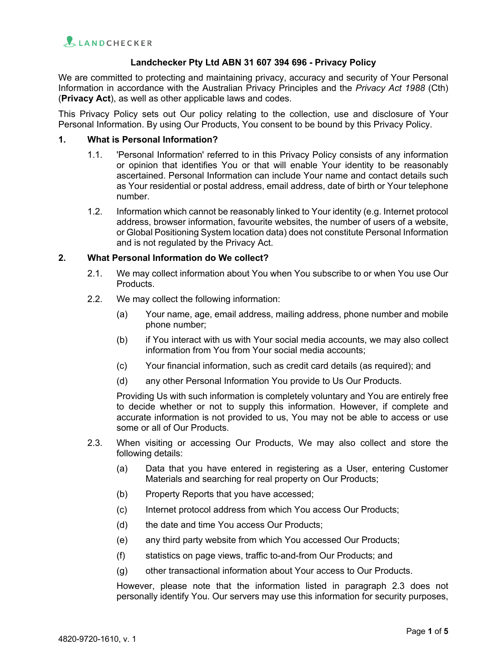## **Landchecker Pty Ltd ABN 31 607 394 696 - Privacy Policy**

We are committed to protecting and maintaining privacy, accuracy and security of Your Personal Information in accordance with the Australian Privacy Principles and the *Privacy Act 1988* (Cth) (**Privacy Act**), as well as other applicable laws and codes.

This Privacy Policy sets out Our policy relating to the collection, use and disclosure of Your Personal Information. By using Our Products, You consent to be bound by this Privacy Policy.

#### **1. What is Personal Information?**

- 1.1. 'Personal Information' referred to in this Privacy Policy consists of any information or opinion that identifies You or that will enable Your identity to be reasonably ascertained. Personal Information can include Your name and contact details such as Your residential or postal address, email address, date of birth or Your telephone number.
- 1.2. Information which cannot be reasonably linked to Your identity (e.g. Internet protocol address, browser information, favourite websites, the number of users of a website, or Global Positioning System location data) does not constitute Personal Information and is not regulated by the Privacy Act.

# **2. What Personal Information do We collect?**

- 2.1. We may collect information about You when You subscribe to or when You use Our Products.
- 2.2. We may collect the following information:
	- (a) Your name, age, email address, mailing address, phone number and mobile phone number;
	- (b) if You interact with us with Your social media accounts, we may also collect information from You from Your social media accounts;
	- (c) Your financial information, such as credit card details (as required); and
	- (d) any other Personal Information You provide to Us Our Products.

Providing Us with such information is completely voluntary and You are entirely free to decide whether or not to supply this information. However, if complete and accurate information is not provided to us, You may not be able to access or use some or all of Our Products.

- 2.3. When visiting or accessing Our Products, We may also collect and store the following details:
	- (a) Data that you have entered in registering as a User, entering Customer Materials and searching for real property on Our Products;
	- (b) Property Reports that you have accessed;
	- (c) Internet protocol address from which You access Our Products;
	- (d) the date and time You access Our Products;
	- (e) any third party website from which You accessed Our Products;
	- (f) statistics on page views, traffic to-and-from Our Products; and
	- (g) other transactional information about Your access to Our Products.

However, please note that the information listed in paragraph 2.3 does not personally identify You. Our servers may use this information for security purposes,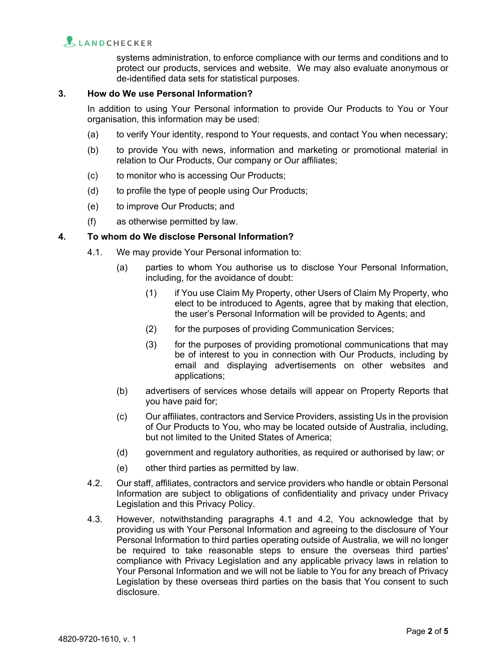# LANDCHECKER

systems administration, to enforce compliance with our terms and conditions and to protect our products, services and website. We may also evaluate anonymous or de-identified data sets for statistical purposes.

# **3. How do We use Personal Information?**

In addition to using Your Personal information to provide Our Products to You or Your organisation, this information may be used:

- (a) to verify Your identity, respond to Your requests, and contact You when necessary;
- (b) to provide You with news, information and marketing or promotional material in relation to Our Products, Our company or Our affiliates;
- (c) to monitor who is accessing Our Products;
- (d) to profile the type of people using Our Products;
- (e) to improve Our Products; and
- (f) as otherwise permitted by law.

## **4. To whom do We disclose Personal Information?**

- 4.1. We may provide Your Personal information to:
	- (a) parties to whom You authorise us to disclose Your Personal Information, including, for the avoidance of doubt:
		- (1) if You use Claim My Property, other Users of Claim My Property, who elect to be introduced to Agents, agree that by making that election, the user's Personal Information will be provided to Agents; and
		- (2) for the purposes of providing Communication Services;
		- (3) for the purposes of providing promotional communications that may be of interest to you in connection with Our Products, including by email and displaying advertisements on other websites and applications;
	- (b) advertisers of services whose details will appear on Property Reports that you have paid for;
	- (c) Our affiliates, contractors and Service Providers, assisting Us in the provision of Our Products to You, who may be located outside of Australia, including, but not limited to the United States of America;
	- (d) government and regulatory authorities, as required or authorised by law; or
	- (e) other third parties as permitted by law.
- 4.2. Our staff, affiliates, contractors and service providers who handle or obtain Personal Information are subject to obligations of confidentiality and privacy under Privacy Legislation and this Privacy Policy.
- 4.3. However, notwithstanding paragraphs 4.1 and 4.2, You acknowledge that by providing us with Your Personal Information and agreeing to the disclosure of Your Personal Information to third parties operating outside of Australia, we will no longer be required to take reasonable steps to ensure the overseas third parties' compliance with Privacy Legislation and any applicable privacy laws in relation to Your Personal Information and we will not be liable to You for any breach of Privacy Legislation by these overseas third parties on the basis that You consent to such disclosure.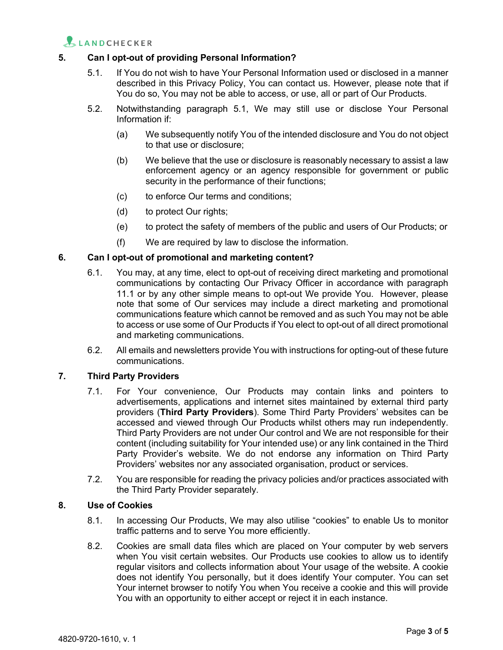

# **5. Can I opt-out of providing Personal Information?**

- 5.1. If You do not wish to have Your Personal Information used or disclosed in a manner described in this Privacy Policy, You can contact us. However, please note that if You do so, You may not be able to access, or use, all or part of Our Products.
- 5.2. Notwithstanding paragraph 5.1, We may still use or disclose Your Personal Information if:
	- (a) We subsequently notify You of the intended disclosure and You do not object to that use or disclosure;
	- (b) We believe that the use or disclosure is reasonably necessary to assist a law enforcement agency or an agency responsible for government or public security in the performance of their functions;
	- (c) to enforce Our terms and conditions;
	- (d) to protect Our rights;
	- (e) to protect the safety of members of the public and users of Our Products; or
	- (f) We are required by law to disclose the information.

# **6. Can I opt-out of promotional and marketing content?**

- 6.1. You may, at any time, elect to opt-out of receiving direct marketing and promotional communications by contacting Our Privacy Officer in accordance with paragraph 11.1 or by any other simple means to opt-out We provide You. However, please note that some of Our services may include a direct marketing and promotional communications feature which cannot be removed and as such You may not be able to access or use some of Our Products if You elect to opt-out of all direct promotional and marketing communications.
- 6.2. All emails and newsletters provide You with instructions for opting-out of these future communications.

#### **7. Third Party Providers**

- 7.1. For Your convenience, Our Products may contain links and pointers to advertisements, applications and internet sites maintained by external third party providers (**Third Party Providers**). Some Third Party Providers' websites can be accessed and viewed through Our Products whilst others may run independently. Third Party Providers are not under Our control and We are not responsible for their content (including suitability for Your intended use) or any link contained in the Third Party Provider's website. We do not endorse any information on Third Party Providers' websites nor any associated organisation, product or services.
- 7.2. You are responsible for reading the privacy policies and/or practices associated with the Third Party Provider separately.

#### **8. Use of Cookies**

- 8.1. In accessing Our Products, We may also utilise "cookies" to enable Us to monitor traffic patterns and to serve You more efficiently.
- 8.2. Cookies are small data files which are placed on Your computer by web servers when You visit certain websites. Our Products use cookies to allow us to identify regular visitors and collects information about Your usage of the website. A cookie does not identify You personally, but it does identify Your computer. You can set Your internet browser to notify You when You receive a cookie and this will provide You with an opportunity to either accept or reject it in each instance.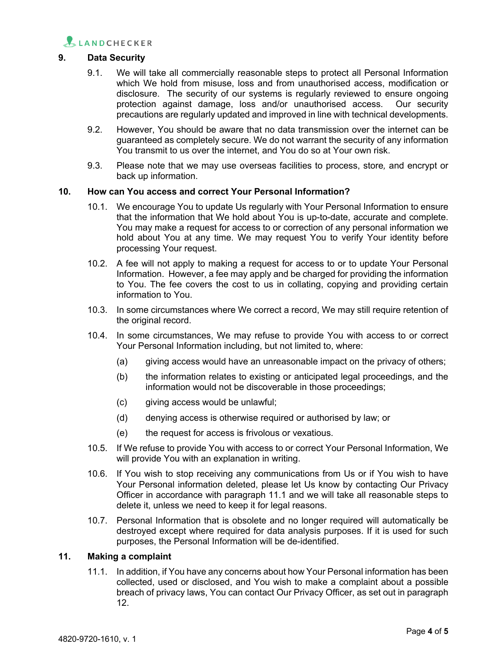

# **9. Data Security**

- 9.1. We will take all commercially reasonable steps to protect all Personal Information which We hold from misuse, loss and from unauthorised access, modification or disclosure. The security of our systems is regularly reviewed to ensure ongoing protection against damage, loss and/or unauthorised access. Our security precautions are regularly updated and improved in line with technical developments.
- 9.2. However, You should be aware that no data transmission over the internet can be guaranteed as completely secure. We do not warrant the security of any information You transmit to us over the internet, and You do so at Your own risk.
- 9.3. Please note that we may use overseas facilities to process, store*,* and encrypt or back up information.

#### **10. How can You access and correct Your Personal Information?**

- 10.1. We encourage You to update Us regularly with Your Personal Information to ensure that the information that We hold about You is up-to-date, accurate and complete. You may make a request for access to or correction of any personal information we hold about You at any time. We may request You to verify Your identity before processing Your request.
- 10.2. A fee will not apply to making a request for access to or to update Your Personal Information. However, a fee may apply and be charged for providing the information to You. The fee covers the cost to us in collating, copying and providing certain information to You.
- 10.3. In some circumstances where We correct a record, We may still require retention of the original record.
- 10.4. In some circumstances, We may refuse to provide You with access to or correct Your Personal Information including, but not limited to, where:
	- (a) giving access would have an unreasonable impact on the privacy of others;
	- (b) the information relates to existing or anticipated legal proceedings, and the information would not be discoverable in those proceedings;
	- (c) giving access would be unlawful;
	- (d) denying access is otherwise required or authorised by law; or
	- (e) the request for access is frivolous or vexatious.
- 10.5. If We refuse to provide You with access to or correct Your Personal Information, We will provide You with an explanation in writing.
- 10.6. If You wish to stop receiving any communications from Us or if You wish to have Your Personal information deleted, please let Us know by contacting Our Privacy Officer in accordance with paragraph 11.1 and we will take all reasonable steps to delete it, unless we need to keep it for legal reasons.
- 10.7. Personal Information that is obsolete and no longer required will automatically be destroyed except where required for data analysis purposes. If it is used for such purposes, the Personal Information will be de-identified.

# **11. Making a complaint**

11.1. In addition, if You have any concerns about how Your Personal information has been collected, used or disclosed, and You wish to make a complaint about a possible breach of privacy laws, You can contact Our Privacy Officer, as set out in paragraph 12.